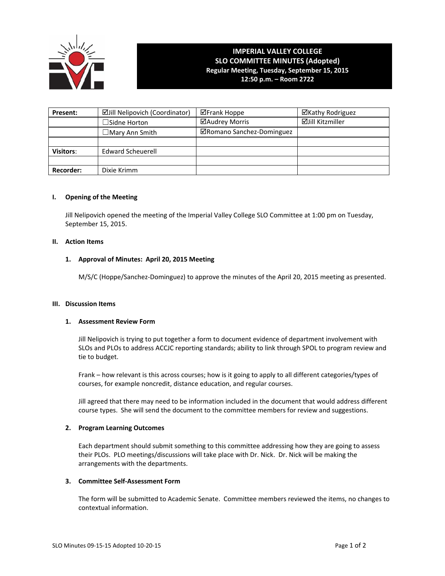

# **IMPERIAL VALLEY COLLEGE SLO COMMITTEE MINUTES (Adopted) Regular Meeting, Tuesday, September 15, 2015 12:50 p.m. – Room 2722**

**Present:** | Zijill Nelipovich (Coordinator) | Zierank Hoppe | Xierang | Zierang Rodriguez ☐Sidne Horton Audrey Morris Jill Kitzmiller ☐Mary Ann Smith Romano Sanchez‐Dominguez **Visitors:** Edward Scheuerell **Recorder:** Dixie Krimm

# **I. Opening of the Meeting**

Jill Nelipovich opened the meeting of the Imperial Valley College SLO Committee at 1:00 pm on Tuesday, September 15, 2015.

# **II. Action Items**

# **1. Approval of Minutes: April 20, 2015 Meeting**

M/S/C (Hoppe/Sanchez‐Dominguez) to approve the minutes of the April 20, 2015 meeting as presented.

## **III. Discussion Items**

## **1. Assessment Review Form**

Jill Nelipovich is trying to put together a form to document evidence of department involvement with SLOs and PLOs to address ACCJC reporting standards; ability to link through SPOL to program review and tie to budget.

Frank – how relevant is this across courses; how is it going to apply to all different categories/types of courses, for example noncredit, distance education, and regular courses.

Jill agreed that there may need to be information included in the document that would address different course types. She will send the document to the committee members for review and suggestions.

## **2. Program Learning Outcomes**

Each department should submit something to this committee addressing how they are going to assess their PLOs. PLO meetings/discussions will take place with Dr. Nick. Dr. Nick will be making the arrangements with the departments.

# **3. Committee Self‐Assessment Form**

The form will be submitted to Academic Senate. Committee members reviewed the items, no changes to contextual information.